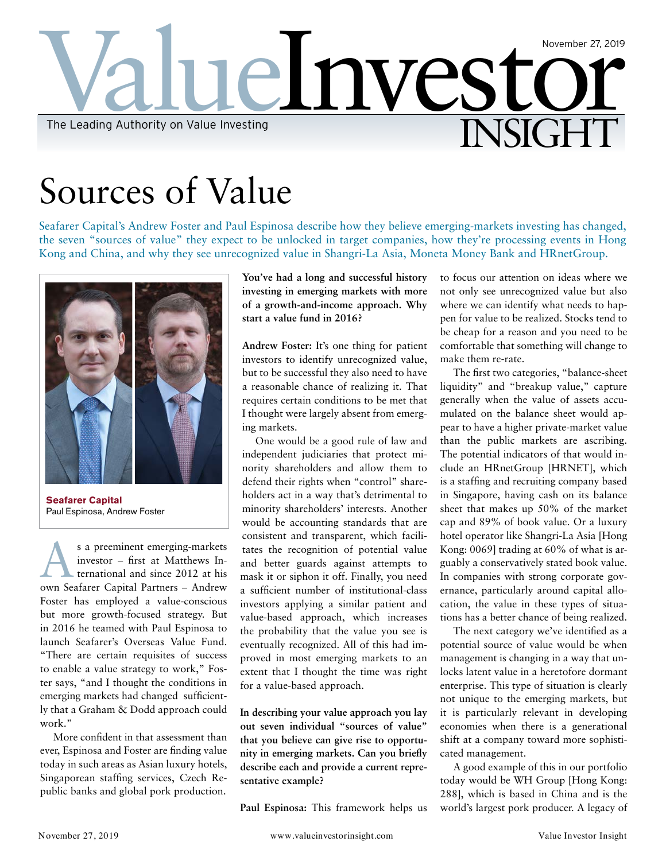

# Sources of Value

Seafarer Capital's Andrew Foster and Paul Espinosa describe how they believe emerging-markets investing has changed, the seven "sources of value" they expect to be unlocked in target companies, how they're processing events in Hong Kong and China, and why they see unrecognized value in Shangri-La Asia, Moneta Money Bank and HRnetGroup.



**Seafarer Capital**  Paul Espinosa, Andrew Foster

S a preeminent emerging-markets<br>
investor – first at Matthews In-<br>
ternational and since 2012 at his<br>
and Safara Curital Dataset investor – first at Matthews Inown Seafarer Capital Partners – Andrew Foster has employed a value-conscious but more growth-focused strategy. But in 2016 he teamed with Paul Espinosa to launch Seafarer's Overseas Value Fund. "There are certain requisites of success to enable a value strategy to work," Foster says, "and I thought the conditions in emerging markets had changed sufficiently that a Graham & Dodd approach could work."

More confident in that assessment than ever, Espinosa and Foster are finding value today in such areas as Asian luxury hotels, Singaporean staffing services, Czech Republic banks and global pork production.

**You've had a long and successful history investing in emerging markets with more of a growth-and-income approach. Why start a value fund in 2016?**

**Andrew Foster:** It's one thing for patient investors to identify unrecognized value, but to be successful they also need to have a reasonable chance of realizing it. That requires certain conditions to be met that I thought were largely absent from emerging markets.

One would be a good rule of law and independent judiciaries that protect minority shareholders and allow them to defend their rights when "control" shareholders act in a way that's detrimental to minority shareholders' interests. Another would be accounting standards that are consistent and transparent, which facilitates the recognition of potential value and better guards against attempts to mask it or siphon it off. Finally, you need a sufficient number of institutional-class investors applying a similar patient and value-based approach, which increases the probability that the value you see is eventually recognized. All of this had improved in most emerging markets to an extent that I thought the time was right for a value-based approach.

**In describing your value approach you lay out seven individual "sources of value" that you believe can give rise to opportunity in emerging markets. Can you briefly describe each and provide a current representative example?**

**Paul Espinosa:** This framework helps us

to focus our attention on ideas where we not only see unrecognized value but also where we can identify what needs to happen for value to be realized. Stocks tend to be cheap for a reason and you need to be comfortable that something will change to make them re-rate.

The first two categories, "balance-sheet liquidity" and "breakup value," capture generally when the value of assets accumulated on the balance sheet would appear to have a higher private-market value than the public markets are ascribing. The potential indicators of that would include an HRnetGroup [HRNET], which is a staffing and recruiting company based in Singapore, having cash on its balance sheet that makes up 50% of the market cap and 89% of book value. Or a luxury hotel operator like Shangri-La Asia [Hong Kong: 0069] trading at 60% of what is arguably a conservatively stated book value. In companies with strong corporate governance, particularly around capital allocation, the value in these types of situations has a better chance of being realized.

The next category we've identified as a potential source of value would be when management is changing in a way that unlocks latent value in a heretofore dormant enterprise. This type of situation is clearly not unique to the emerging markets, but it is particularly relevant in developing economies when there is a generational shift at a company toward more sophisticated management.

A good example of this in our portfolio today would be WH Group [Hong Kong: 288], which is based in China and is the world's largest pork producer. A legacy of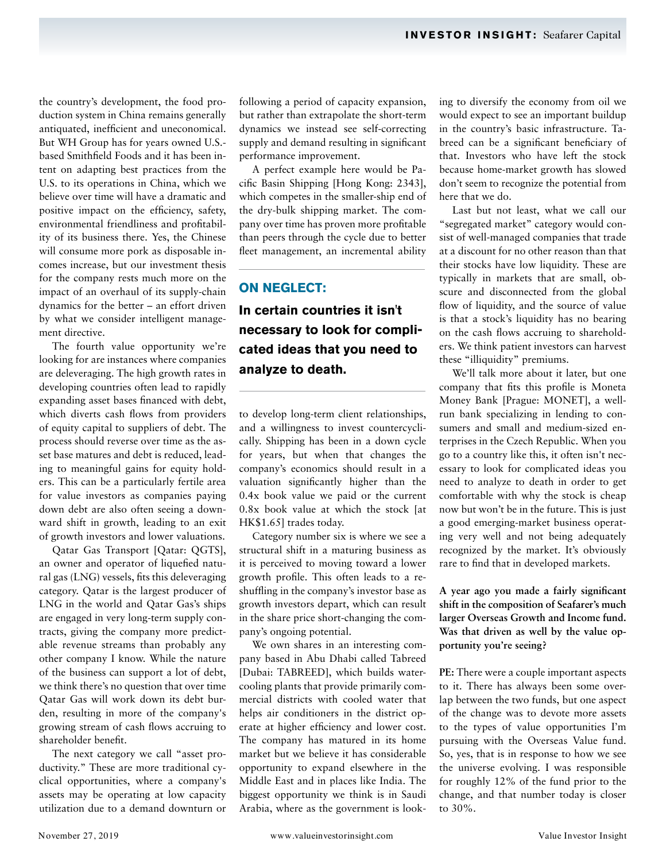the country's development, the food production system in China remains generally antiquated, inefficient and uneconomical. But WH Group has for years owned U.S. based Smithfield Foods and it has been intent on adapting best practices from the U.S. to its operations in China, which we believe over time will have a dramatic and positive impact on the efficiency, safety, environmental friendliness and profitability of its business there. Yes, the Chinese will consume more pork as disposable incomes increase, but our investment thesis for the company rests much more on the impact of an overhaul of its supply-chain dynamics for the better – an effort driven by what we consider intelligent management directive.

The fourth value opportunity we're looking for are instances where companies are deleveraging. The high growth rates in developing countries often lead to rapidly expanding asset bases financed with debt, which diverts cash flows from providers of equity capital to suppliers of debt. The process should reverse over time as the asset base matures and debt is reduced, leading to meaningful gains for equity holders. This can be a particularly fertile area for value investors as companies paying down debt are also often seeing a downward shift in growth, leading to an exit of growth investors and lower valuations.

Qatar Gas Transport [Qatar: QGTS], an owner and operator of liquefied natural gas (LNG) vessels, fits this deleveraging category. Qatar is the largest producer of LNG in the world and Qatar Gas's ships are engaged in very long-term supply contracts, giving the company more predictable revenue streams than probably any other company I know. While the nature of the business can support a lot of debt, we think there's no question that over time Qatar Gas will work down its debt burden, resulting in more of the company's growing stream of cash flows accruing to shareholder benefit.

The next category we call "asset productivity." These are more traditional cyclical opportunities, where a company's assets may be operating at low capacity utilization due to a demand downturn or

following a period of capacity expansion, but rather than extrapolate the short-term dynamics we instead see self-correcting supply and demand resulting in significant performance improvement.

A perfect example here would be Pacific Basin Shipping [Hong Kong: 2343], which competes in the smaller-ship end of the dry-bulk shipping market. The company over time has proven more profitable than peers through the cycle due to better fleet management, an incremental ability

# **ON NEGLECT:**

**In certain countries it isn't necessary to look for complicated ideas that you need to analyze to death.** 

to develop long-term client relationships, and a willingness to invest countercyclically. Shipping has been in a down cycle for years, but when that changes the company's economics should result in a valuation significantly higher than the 0.4x book value we paid or the current 0.8x book value at which the stock [at HK\$1.65] trades today.

Category number six is where we see a structural shift in a maturing business as it is perceived to moving toward a lower growth profile. This often leads to a reshuffling in the company's investor base as growth investors depart, which can result in the share price short-changing the company's ongoing potential.

We own shares in an interesting company based in Abu Dhabi called Tabreed [Dubai: TABREED], which builds watercooling plants that provide primarily commercial districts with cooled water that helps air conditioners in the district operate at higher efficiency and lower cost. The company has matured in its home market but we believe it has considerable opportunity to expand elsewhere in the Middle East and in places like India. The biggest opportunity we think is in Saudi Arabia, where as the government is looking to diversify the economy from oil we would expect to see an important buildup in the country's basic infrastructure. Tabreed can be a significant beneficiary of that. Investors who have left the stock because home-market growth has slowed don't seem to recognize the potential from here that we do.

Last but not least, what we call our "segregated market" category would consist of well-managed companies that trade at a discount for no other reason than that their stocks have low liquidity. These are typically in markets that are small, obscure and disconnected from the global flow of liquidity, and the source of value is that a stock's liquidity has no bearing on the cash flows accruing to shareholders. We think patient investors can harvest these "illiquidity" premiums.

We'll talk more about it later, but one company that fits this profile is Moneta Money Bank [Prague: MONET], a wellrun bank specializing in lending to consumers and small and medium-sized enterprises in the Czech Republic. When you go to a country like this, it often isn't necessary to look for complicated ideas you need to analyze to death in order to get comfortable with why the stock is cheap now but won't be in the future. This is just a good emerging-market business operating very well and not being adequately recognized by the market. It's obviously rare to find that in developed markets.

**A year ago you made a fairly significant shift in the composition of Seafarer's much larger Overseas Growth and Income fund. Was that driven as well by the value opportunity you're seeing?**

**PE:** There were a couple important aspects to it. There has always been some overlap between the two funds, but one aspect of the change was to devote more assets to the types of value opportunities I'm pursuing with the Overseas Value fund. So, yes, that is in response to how we see the universe evolving. I was responsible for roughly 12% of the fund prior to the change, and that number today is closer to 30%.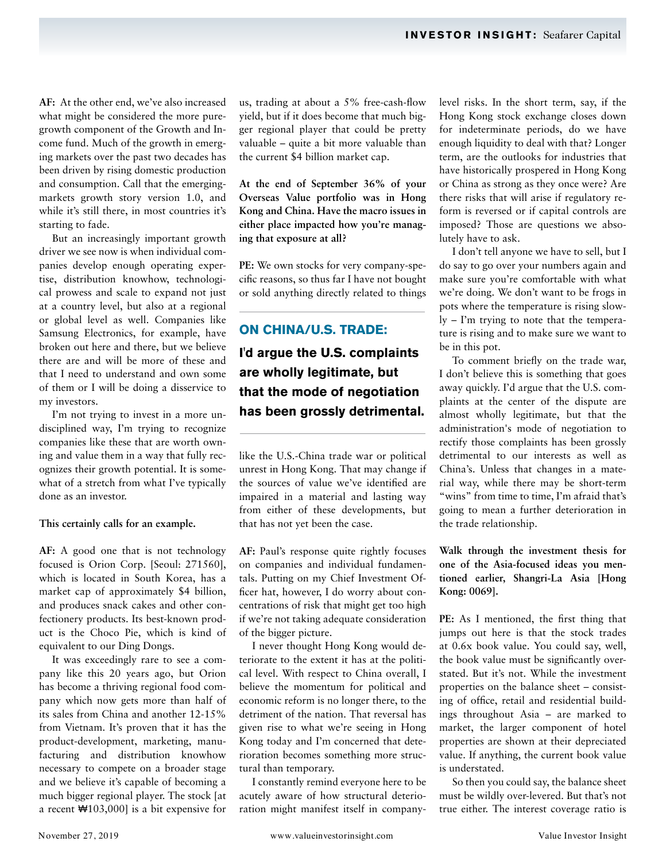**AF:** At the other end, we've also increased what might be considered the more puregrowth component of the Growth and Income fund. Much of the growth in emerging markets over the past two decades has been driven by rising domestic production and consumption. Call that the emergingmarkets growth story version 1.0, and while it's still there, in most countries it's starting to fade.

But an increasingly important growth driver we see now is when individual companies develop enough operating expertise, distribution knowhow, technological prowess and scale to expand not just at a country level, but also at a regional or global level as well. Companies like Samsung Electronics, for example, have broken out here and there, but we believe there are and will be more of these and that I need to understand and own some of them or I will be doing a disservice to my investors.

I'm not trying to invest in a more undisciplined way, I'm trying to recognize companies like these that are worth owning and value them in a way that fully recognizes their growth potential. It is somewhat of a stretch from what I've typically done as an investor.

#### **This certainly calls for an example.**

**AF:** A good one that is not technology focused is Orion Corp. [Seoul: 271560], which is located in South Korea, has a market cap of approximately \$4 billion, and produces snack cakes and other confectionery products. Its best-known product is the Choco Pie, which is kind of equivalent to our Ding Dongs.

It was exceedingly rare to see a company like this 20 years ago, but Orion has become a thriving regional food company which now gets more than half of its sales from China and another 12-15% from Vietnam. It's proven that it has the product-development, marketing, manufacturing and distribution knowhow necessary to compete on a broader stage and we believe it's capable of becoming a much bigger regional player. The stock [at a recent ₩103,000] is a bit expensive for

us, trading at about a 5% free-cash-flow yield, but if it does become that much bigger regional player that could be pretty valuable – quite a bit more valuable than the current \$4 billion market cap.

**At the end of September 36% of your Overseas Value portfolio was in Hong Kong and China. Have the macro issues in either place impacted how you're managing that exposure at all?**

**PE:** We own stocks for very company-specific reasons, so thus far I have not bought or sold anything directly related to things

# **ON CHINA/U.S. TRADE:**

**I'd argue the U.S. complaints are wholly legitimate, but that the mode of negotiation has been grossly detrimental.**

like the U.S.-China trade war or political unrest in Hong Kong. That may change if the sources of value we've identified are impaired in a material and lasting way from either of these developments, but that has not yet been the case.

**AF:** Paul's response quite rightly focuses on companies and individual fundamentals. Putting on my Chief Investment Officer hat, however, I do worry about concentrations of risk that might get too high if we're not taking adequate consideration of the bigger picture.

I never thought Hong Kong would deteriorate to the extent it has at the political level. With respect to China overall, I believe the momentum for political and economic reform is no longer there, to the detriment of the nation. That reversal has given rise to what we're seeing in Hong Kong today and I'm concerned that deterioration becomes something more structural than temporary.

I constantly remind everyone here to be acutely aware of how structural deterioration might manifest itself in companylevel risks. In the short term, say, if the Hong Kong stock exchange closes down for indeterminate periods, do we have enough liquidity to deal with that? Longer term, are the outlooks for industries that have historically prospered in Hong Kong or China as strong as they once were? Are there risks that will arise if regulatory reform is reversed or if capital controls are imposed? Those are questions we absolutely have to ask.

I don't tell anyone we have to sell, but I do say to go over your numbers again and make sure you're comfortable with what we're doing. We don't want to be frogs in pots where the temperature is rising slowly – I'm trying to note that the temperature is rising and to make sure we want to be in this pot.

To comment briefly on the trade war, I don't believe this is something that goes away quickly. I'd argue that the U.S. complaints at the center of the dispute are almost wholly legitimate, but that the administration's mode of negotiation to rectify those complaints has been grossly detrimental to our interests as well as China's. Unless that changes in a material way, while there may be short-term "wins" from time to time, I'm afraid that's going to mean a further deterioration in the trade relationship.

**Walk through the investment thesis for one of the Asia-focused ideas you mentioned earlier, Shangri-La Asia [Hong Kong: 0069].**

**PE:** As I mentioned, the first thing that jumps out here is that the stock trades at 0.6x book value. You could say, well, the book value must be significantly overstated. But it's not. While the investment properties on the balance sheet – consisting of office, retail and residential buildings throughout Asia – are marked to market, the larger component of hotel properties are shown at their depreciated value. If anything, the current book value is understated.

So then you could say, the balance sheet must be wildly over-levered. But that's not true either. The interest coverage ratio is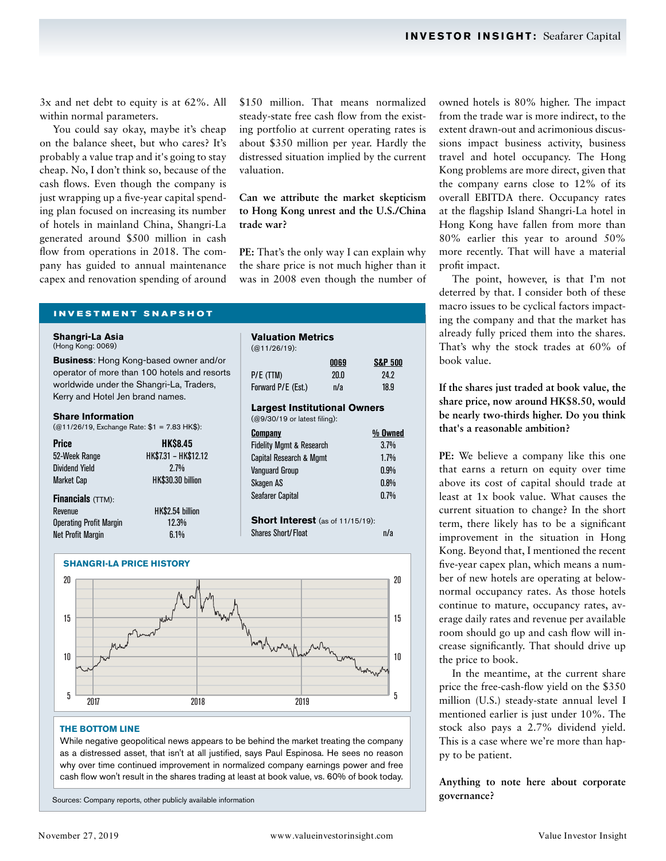3x and net debt to equity is at 62%. All within normal parameters.

You could say okay, maybe it's cheap on the balance sheet, but who cares? It's probably a value trap and it's going to stay cheap. No, I don't think so, because of the cash flows. Even though the company is just wrapping up a five-year capital spending plan focused on increasing its number of hotels in mainland China, Shangri-La generated around \$500 million in cash flow from operations in 2018. The company has guided to annual maintenance capex and renovation spending of around

\$150 million. That means normalized steady-state free cash flow from the existing portfolio at current operating rates is about \$350 million per year. Hardly the distressed situation implied by the current valuation.

**Can we attribute the market skepticism to Hong Kong unrest and the U.S./China trade war?**

PE: That's the only way I can explain why the share price is not much higher than it was in 2008 even though the number of

#### **INVESTMENT SNAPSHOT**

**Shangri-La Asia**  (Hong Kong: 0069)

**Business**: Hong Kong-based owner and/or operator of more than 100 hotels and resorts worldwide under the Shangri-La, Traders, Kerry and Hotel Jen brand names.

#### **Share Information**

(@11/26/19, Exchange Rate: \$1 = 7.83 HK\$):

| <b>Price</b>             | <b>HK\$8.45</b>      |
|--------------------------|----------------------|
| 52-Week Range            | HK\$7.31 - HK\$12.12 |
| <b>Dividend Yield</b>    | 2.7%                 |
| <b>Market Cap</b>        | HK\$30.30 billion    |
| <b>Financials</b> (TTM): |                      |

| <b>FIIIAIIGIAIS</b> (TIME)     |                   |
|--------------------------------|-------------------|
| Revenue                        | <b>HK\$2.54 b</b> |
| <b>Operating Profit Margin</b> | 12.3%             |
| <b>Net Profit Margin</b>       | 6.1%              |

HK\$2.54 billion  $12.3\%$ <br> $6.1\%$ 

| Valuation Metrics                       |      |                    |
|-----------------------------------------|------|--------------------|
| $(Q11/26/19)$ :                         |      |                    |
|                                         | 0069 | <b>S&amp;P 500</b> |
| P/E (TTM)                               | 20.0 | 24.2               |
| Forward P/E (Est.)                      | n/a  | 18.9               |
| <b>Largest Institutional Owners</b>     |      |                    |
| (@9/30/19 or latest filing):            |      |                    |
| Company                                 |      | % Owned            |
| <b>Fidelity Mgmt &amp; Research</b>     |      | 3.7%               |
| <b>Capital Research &amp; Mgmt</b>      |      | 1.7%               |
| Vanquard Group                          |      | $0.9\%$            |
| Skagen AS                               |      | $0.8\%$            |
| Seafarer Capital                        |      | 0.7%               |
| <b>Short Interest</b> (as of 11/15/19): |      |                    |
| Shares Short/Float                      |      | n/a                |



#### **THE BOTTOM LINE**

While negative geopolitical news appears to be behind the market treating the company as a distressed asset, that isn't at all justified, says Paul Espinosa. He sees no reason why over time continued improvement in normalized company earnings power and free cash flow won't result in the shares trading at least at book value, vs. 60% of book today.

Sources: Company reports, other publicly available information

owned hotels is 80% higher. The impact from the trade war is more indirect, to the extent drawn-out and acrimonious discussions impact business activity, business travel and hotel occupancy. The Hong Kong problems are more direct, given that the company earns close to 12% of its overall EBITDA there. Occupancy rates at the flagship Island Shangri-La hotel in Hong Kong have fallen from more than 80% earlier this year to around 50% more recently. That will have a material profit impact.

The point, however, is that I'm not deterred by that. I consider both of these macro issues to be cyclical factors impacting the company and that the market has already fully priced them into the shares. That's why the stock trades at 60% of book value.

**If the shares just traded at book value, the share price, now around HK\$8.50, would be nearly two-thirds higher. Do you think that's a reasonable ambition?**

**PE:** We believe a company like this one that earns a return on equity over time above its cost of capital should trade at least at 1x book value. What causes the current situation to change? In the short term, there likely has to be a significant improvement in the situation in Hong Kong. Beyond that, I mentioned the recent five-year capex plan, which means a number of new hotels are operating at belownormal occupancy rates. As those hotels continue to mature, occupancy rates, average daily rates and revenue per available room should go up and cash flow will increase significantly. That should drive up the price to book.

In the meantime, at the current share price the free-cash-flow yield on the \$350 million (U.S.) steady-state annual level I mentioned earlier is just under 10%. The stock also pays a 2.7% dividend yield. This is a case where we're more than happy to be patient.

# **Anything to note here about corporate governance?**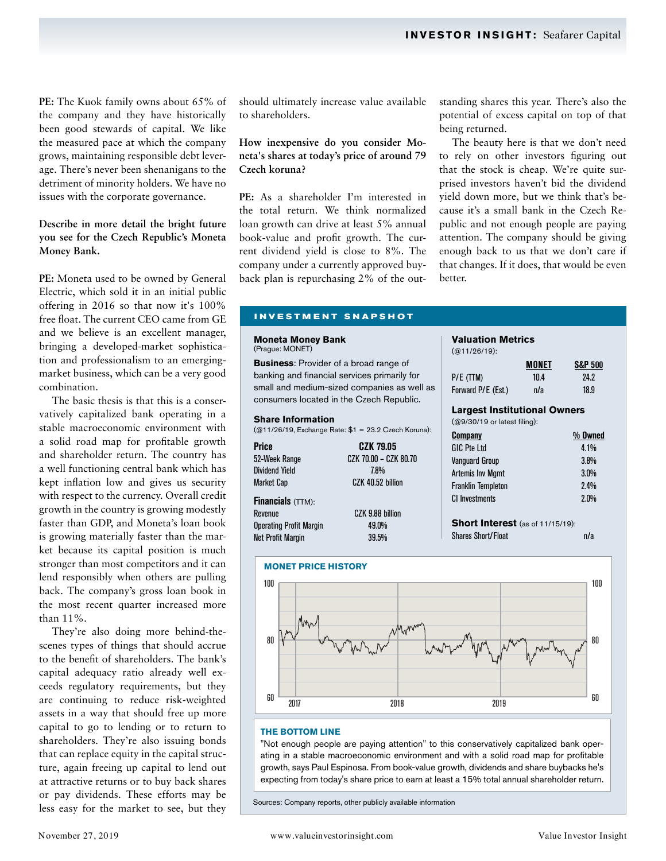**PE:** The Kuok family owns about 65% of the company and they have historically been good stewards of capital. We like the measured pace at which the company grows, maintaining responsible debt leverage. There's never been shenanigans to the detriment of minority holders. We have no issues with the corporate governance.

# **Describe in more detail the bright future you see for the Czech Republic's Moneta Money Bank.**

**PE:** Moneta used to be owned by General Electric, which sold it in an initial public offering in 2016 so that now it's 100% free float. The current CEO came from GE and we believe is an excellent manager, bringing a developed-market sophistication and professionalism to an emergingmarket business, which can be a very good combination.

The basic thesis is that this is a conservatively capitalized bank operating in a stable macroeconomic environment with a solid road map for profitable growth and shareholder return. The country has a well functioning central bank which has kept inflation low and gives us security with respect to the currency. Overall credit growth in the country is growing modestly faster than GDP, and Moneta's loan book is growing materially faster than the market because its capital position is much stronger than most competitors and it can lend responsibly when others are pulling back. The company's gross loan book in the most recent quarter increased more than 11%.

They're also doing more behind-thescenes types of things that should accrue to the benefit of shareholders. The bank's capital adequacy ratio already well exceeds regulatory requirements, but they are continuing to reduce risk-weighted assets in a way that should free up more capital to go to lending or to return to shareholders. They're also issuing bonds that can replace equity in the capital structure, again freeing up capital to lend out at attractive returns or to buy back shares or pay dividends. These efforts may be less easy for the market to see, but they

should ultimately increase value available to shareholders.

# **How inexpensive do you consider Moneta's shares at today's price of around 79 Czech koruna?**

**PE:** As a shareholder I'm interested in the total return. We think normalized loan growth can drive at least 5% annual book-value and profit growth. The current dividend yield is close to 8%. The company under a currently approved buyback plan is repurchasing 2% of the outstanding shares this year. There's also the potential of excess capital on top of that being returned.

The beauty here is that we don't need to rely on other investors figuring out that the stock is cheap. We're quite surprised investors haven't bid the dividend yield down more, but we think that's because it's a small bank in the Czech Republic and not enough people are paying attention. The company should be giving enough back to us that we don't care if that changes. If it does, that would be even better.

#### **INVESTMENT SNAPSHOT**

#### **Moneta Money Bank**  (Prague: MONET)

**Business**: Provider of a broad range of banking and financial services primarily for small and medium-sized companies as well as consumers located in the Czech Republic.

#### **Share Information**

(@11/26/19, Exchange Rate: \$1 = 23.2 Czech Koruna):

| <b>Price</b>                   | CZK 79.05             |
|--------------------------------|-----------------------|
| 52-Week Range                  | CZK 70.00 - CZK 80.70 |
| <b>Dividend Yield</b>          | 7.8%                  |
| <b>Market Cap</b>              | CZK 40.52 billion     |
| <b>Financials</b> (TTM):       |                       |
| Revenue                        | CZK 9.88 billion      |
| <b>Operating Profit Margin</b> | 49.0%                 |
| <b>Net Profit Margin</b>       | 39.5%                 |

# **Valuation Metrics**

(@11/26/19):

| $(QU + 1/26/19)$ :                                                  |       |                    |
|---------------------------------------------------------------------|-------|--------------------|
|                                                                     | MONET | <b>S&amp;P 500</b> |
| P/E (TTM)                                                           | 10.4  | 24.2               |
| Forward P/E (Est.)                                                  | n/a   | 18.9               |
| <b>Largest Institutional Owners</b><br>(@9/30/19 or latest filing): |       |                    |
| <b>Company</b>                                                      |       | % Owned            |
| GIC Pte Itd                                                         |       | $4.1\%$            |
| <b>Vanguard Group</b>                                               |       | 3.8%               |
| Artemis Inv Mgmt                                                    |       | 3.0%               |
| <b>Franklin Templeton</b>                                           |       | $2.4\%$            |
| CI Investments                                                      |       | 2.0%               |
| <b>Short Interest</b> (as of 11/15/19):                             |       |                    |
| Shares Short/Float                                                  |       | n/a                |

**MONET PRICE HISTORY** 80 100 80  $100$ 

#### **THE BOTTOM LINE**

60

"Not enough people are paying attention" to this conservatively capitalized bank operating in a stable macroeconomic environment and with a solid road map for profitable growth, says Paul Espinosa. From book-value growth, dividends and share buybacks he's expecting from today's share price to earn at least a 15% total annual shareholder return.

2017 2018 2019

Sources: Company reports, other publicly available information

60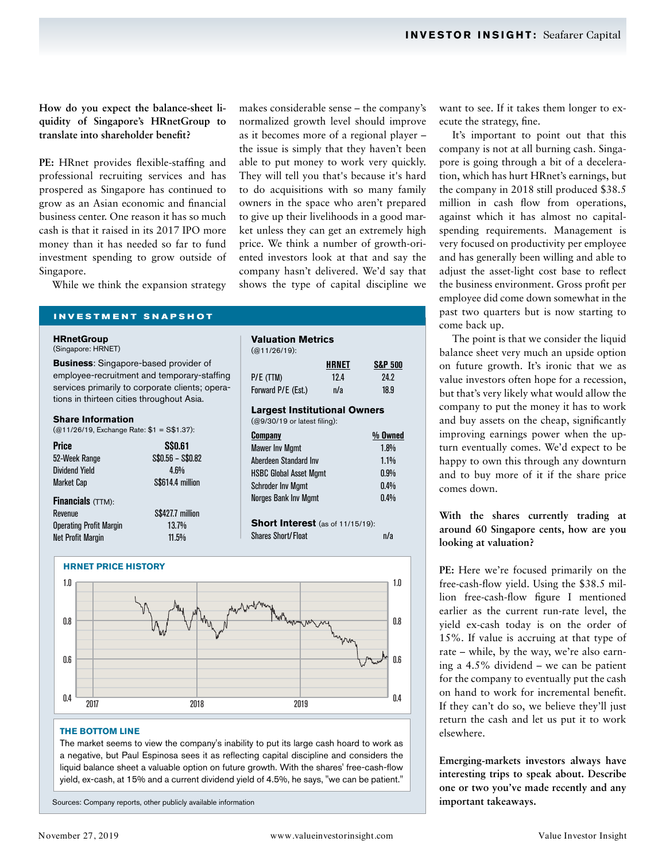**How do you expect the balance-sheet liquidity of Singapore's HRnetGroup to translate into shareholder benefit?**

PE: HRnet provides flexible-staffing and professional recruiting services and has prospered as Singapore has continued to grow as an Asian economic and financial business center. One reason it has so much cash is that it raised in its 2017 IPO more money than it has needed so far to fund investment spending to grow outside of Singapore.

While we think the expansion strategy

**INVESTMENT SNAPSHOT**

**HRnetGroup** 

(Singapore: HRNET)

**Business**: Singapore-based provider of employee-recruitment and temporary-staffing services primarily to corporate clients; operations in thirteen cities throughout Asia.

#### **Share Information**

| $(Q11/26/19,$ Exchange Rate: \$1 = S\$1.37): |                  |
|----------------------------------------------|------------------|
| <b>Price</b>                                 | <b>S\$0.61</b>   |
| 52-Week Range                                | $$0.56 - $0.82$$ |
| <b>Dividend Yield</b>                        | $4.6\%$          |
| <b>Market Cap</b>                            | S\$614.4 million |
| <b>Financials</b> (TTM):                     |                  |
| Revenue                                      | S\$427.7 million |
| <b>Operating Profit Margin</b>               | 13.7%            |
| <b>Net Profit Margin</b>                     | 11.5%            |

makes considerable sense – the company's normalized growth level should improve as it becomes more of a regional player – the issue is simply that they haven't been able to put money to work very quickly. They will tell you that's because it's hard to do acquisitions with so many family owners in the space who aren't prepared to give up their livelihoods in a good market unless they can get an extremely high price. We think a number of growth-oriented investors look at that and say the company hasn't delivered. We'd say that shows the type of capital discipline we

| <b>Valuation Metrics</b>                                            |       |                    |
|---------------------------------------------------------------------|-------|--------------------|
| $(Q11/26/19)$ :                                                     |       |                    |
|                                                                     | HRNET | <b>S&amp;P 500</b> |
| P/E (TTM)                                                           | 12.4  | 24.2               |
| Forward P/E (Est.)                                                  | n/a   | 18.9               |
| <b>Largest Institutional Owners</b><br>(@9/30/19 or latest filing): |       |                    |
| <b>Company</b>                                                      |       | % Owned            |
| <b>Mawer Inv Mgmt</b>                                               |       | $1.8\%$            |
| Aherdeen Standard Inv                                               |       | $1.1\%$            |
| <b>HSBC Global Asset Mgmt</b>                                       |       | $0.9\%$            |
| <b>Schroder Inv Mgmt</b>                                            |       | $0.4\%$            |
| Norges Bank Inv Mgmt                                                |       | $0.4\%$            |
| <b>Short Interest</b> (as of 11/15/19):                             |       |                    |





#### **THE BOTTOM LINE**

The market seems to view the company's inability to put its large cash hoard to work as a negative, but Paul Espinosa sees it as reflecting capital discipline and considers the liquid balance sheet a valuable option on future growth. With the shares' free-cash-flow yield, ex-cash, at 15% and a current dividend yield of 4.5%, he says, "we can be patient."

Sources: Company reports, other publicly available information

want to see. If it takes them longer to execute the strategy, fine.

It's important to point out that this company is not at all burning cash. Singapore is going through a bit of a deceleration, which has hurt HRnet's earnings, but the company in 2018 still produced \$38.5 million in cash flow from operations, against which it has almost no capitalspending requirements. Management is very focused on productivity per employee and has generally been willing and able to adjust the asset-light cost base to reflect the business environment. Gross profit per employee did come down somewhat in the past two quarters but is now starting to come back up.

The point is that we consider the liquid balance sheet very much an upside option on future growth. It's ironic that we as value investors often hope for a recession, but that's very likely what would allow the company to put the money it has to work and buy assets on the cheap, significantly improving earnings power when the upturn eventually comes. We'd expect to be happy to own this through any downturn and to buy more of it if the share price comes down.

# **With the shares currently trading at around 60 Singapore cents, how are you looking at valuation?**

**PE:** Here we're focused primarily on the free-cash-flow yield. Using the \$38.5 million free-cash-flow figure I mentioned earlier as the current run-rate level, the yield ex-cash today is on the order of 15%. If value is accruing at that type of rate – while, by the way, we're also earning a 4.5% dividend – we can be patient for the company to eventually put the cash on hand to work for incremental benefit. If they can't do so, we believe they'll just return the cash and let us put it to work elsewhere.

**Emerging-markets investors always have interesting trips to speak about. Describe one or two you've made recently and any important takeaways.**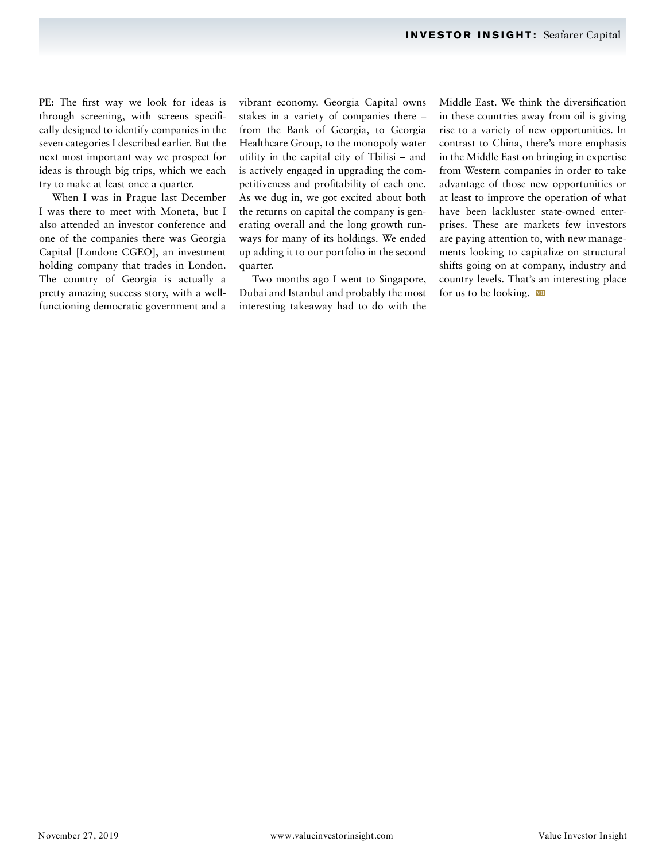PE: The first way we look for ideas is through screening, with screens specifically designed to identify companies in the seven categories I described earlier. But the next most important way we prospect for ideas is through big trips, which we each try to make at least once a quarter.

When I was in Prague last December I was there to meet with Moneta, but I also attended an investor conference and one of the companies there was Georgia Capital [London: CGEO], an investment holding company that trades in London. The country of Georgia is actually a pretty amazing success story, with a wellfunctioning democratic government and a

vibrant economy. Georgia Capital owns stakes in a variety of companies there – from the Bank of Georgia, to Georgia Healthcare Group, to the monopoly water utility in the capital city of Tbilisi – and is actively engaged in upgrading the competitiveness and profitability of each one. As we dug in, we got excited about both the returns on capital the company is generating overall and the long growth runways for many of its holdings. We ended up adding it to our portfolio in the second quarter.

Two months ago I went to Singapore, Dubai and Istanbul and probably the most interesting takeaway had to do with the Middle East. We think the diversification in these countries away from oil is giving rise to a variety of new opportunities. In contrast to China, there's more emphasis in the Middle East on bringing in expertise from Western companies in order to take advantage of those new opportunities or at least to improve the operation of what have been lackluster state-owned enterprises. These are markets few investors are paying attention to, with new managements looking to capitalize on structural shifts going on at company, industry and country levels. That's an interesting place for us to be looking.  $\overline{v}$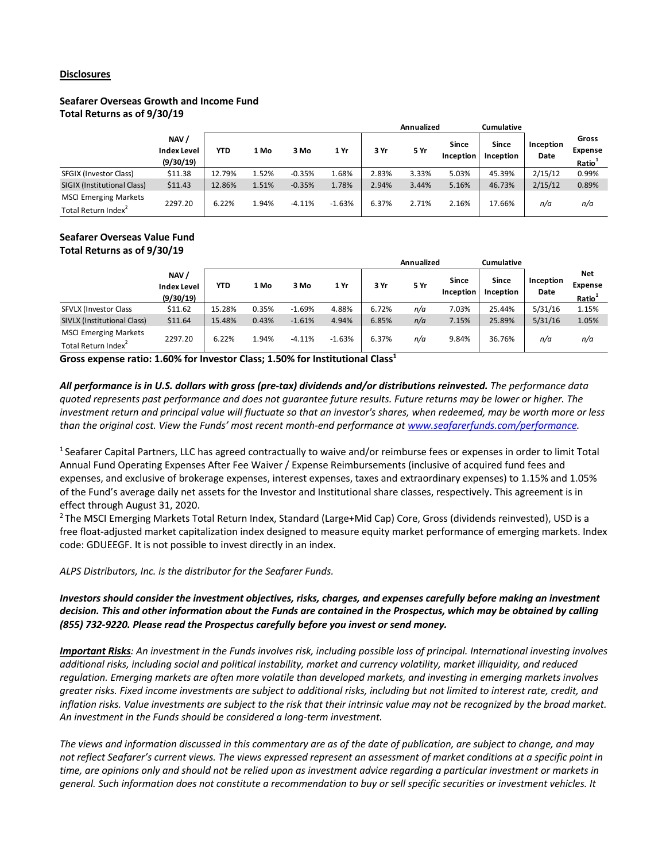### **Disclosures**

# **Seafarer Overseas Growth and Income Fund Total Returns as of 9/30/19**

|                                                                 |                                         |        |       |          |          | <b>Annualized</b> |       | <b>Cumulative</b>  |                    |                   |                                               |
|-----------------------------------------------------------------|-----------------------------------------|--------|-------|----------|----------|-------------------|-------|--------------------|--------------------|-------------------|-----------------------------------------------|
|                                                                 | NAV/<br><b>Index Level</b><br>(9/30/19) | YTD    | 1 Mo  | 3 Mo     | 1 Yr     | 3 Yr              | 5 Yr  | Since<br>Inception | Since<br>Inception | Inception<br>Date | Gross<br><b>Expense</b><br>Ratio <sup>1</sup> |
| SFGIX (Investor Class)                                          | \$11.38                                 | 12.79% | l.52% | $-0.35%$ | 1.68%    | 2.83%             | 3.33% | 5.03%              | 45.39%             | 2/15/12           | 0.99%                                         |
| SIGIX (Institutional Class)                                     | \$11.43                                 | 12.86% | 1.51% | $-0.35%$ | 1.78%    | 2.94%             | 3.44% | 5.16%              | 46.73%             | 2/15/12           | 0.89%                                         |
| <b>MSCI Emerging Markets</b><br>Total Return Index <sup>2</sup> | 2297.20                                 | 6.22%  | 1.94% | $-4.11%$ | $-1.63%$ | 6.37%             | 2.71% | 2.16%              | 17.66%             | n/a               | n/a                                           |

# **Seafarer Overseas Value Fund Total Returns as of 9/30/19**

|                                                                 |                                         |        |       |          |          | <b>Annualized</b> |      | <b>Cumulative</b>         |                           |                   |                                             |
|-----------------------------------------------------------------|-----------------------------------------|--------|-------|----------|----------|-------------------|------|---------------------------|---------------------------|-------------------|---------------------------------------------|
|                                                                 | NAV/<br><b>Index Level</b><br>(9/30/19) | YTD    | 1 Mo  | 3 Mo     | 1 Yr     | 3 Yr              | 5 Yr | <b>Since</b><br>Inception | <b>Since</b><br>Inception | Inception<br>Date | Net<br><b>Expense</b><br>Ratio <sup>1</sup> |
| SFVLX (Investor Class                                           | \$11.62                                 | 15.28% | 0.35% | $-1.69%$ | 4.88%    | 6.72%             | n/a  | 7.03%                     | 25.44%                    | 5/31/16           | 1.15%                                       |
| SIVLX (Institutional Class)                                     | \$11.64                                 | 15.48% | 0.43% | $-1.61%$ | 4.94%    | 6.85%             | n/a  | 7.15%                     | 25.89%                    | 5/31/16           | 1.05%                                       |
| <b>MSCI Emerging Markets</b><br>Total Return Index <sup>2</sup> | 2297.20                                 | 6.22%  | 1.94% | $-4.11%$ | $-1.63%$ | 6.37%             | n/a  | 9.84%                     | 36.76%                    | n/a               | n/a                                         |

**Gross expense ratio: 1.60% for Investor Class; 1.50% for Institutional Class1**

*All performance is in U.S. dollars with gross (pre-tax) dividends and/or distributions reinvested. The performance data quoted represents past performance and does not guarantee future results. Future returns may be lower or higher. The investment return and principal value will fluctuate so that an investor's shares, when redeemed, may be worth more or less than the original cost. View the Funds' most recent month-end performance at www.seafarerfunds.com/performance.*

1 Seafarer Capital Partners, LLC has agreed contractually to waive and/or reimburse fees or expenses in order to limit Total Annual Fund Operating Expenses After Fee Waiver / Expense Reimbursements (inclusive of acquired fund fees and expenses, and exclusive of brokerage expenses, interest expenses, taxes and extraordinary expenses) to 1.15% and 1.05% of the Fund's average daily net assets for the Investor and Institutional share classes, respectively. This agreement is in effect through August 31, 2020.

<sup>2</sup> The MSCI Emerging Markets Total Return Index, Standard (Large+Mid Cap) Core, Gross (dividends reinvested), USD is a free float-adjusted market capitalization index designed to measure equity market performance of emerging markets. Index code: GDUEEGF. It is not possible to invest directly in an index.

*ALPS Distributors, Inc. is the distributor for the Seafarer Funds.*

*Investors should consider the investment objectives, risks, charges, and expenses carefully before making an investment decision. This and other information about the Funds are contained in the Prospectus, which may be obtained by calling (855) 732-9220. Please read the Prospectus carefully before you invest or send money.*

*Important Risks: An investment in the Funds involves risk, including possible loss of principal. International investing involves additional risks, including social and political instability, market and currency volatility, market illiquidity, and reduced regulation. Emerging markets are often more volatile than developed markets, and investing in emerging markets involves greater risks. Fixed income investments are subject to additional risks, including but not limited to interest rate, credit, and inflation risks. Value investments are subject to the risk that their intrinsic value may not be recognized by the broad market. An investment in the Funds should be considered a long-term investment.*

*The views and information discussed in this commentary are as of the date of publication, are subject to change, and may not reflect Seafarer's current views. The views expressed represent an assessment of market conditions at a specific point in time, are opinions only and should not be relied upon as investment advice regarding a particular investment or markets in general. Such information does not constitute a recommendation to buy or sell specific securities or investment vehicles. It*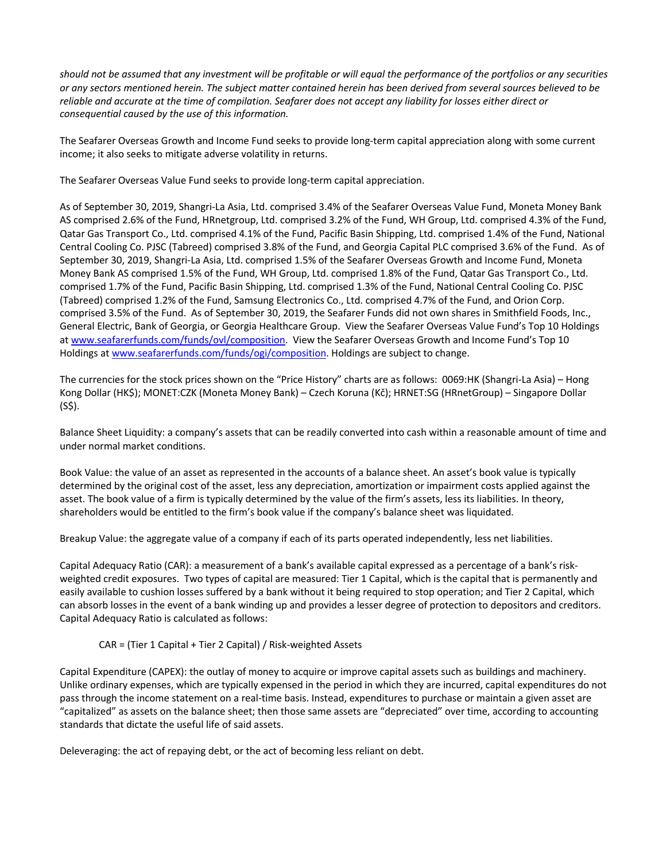*should not be assumed that any investment will be profitable or will equal the performance of the portfolios or any securities or any sectors mentioned herein. The subject matter contained herein has been derived from several sources believed to be reliable and accurate at the time of compilation. Seafarer does not accept any liability for losses either direct or consequential caused by the use of this information.*

The Seafarer Overseas Growth and Income Fund seeks to provide long-term capital appreciation along with some current income; it also seeks to mitigate adverse volatility in returns.

The Seafarer Overseas Value Fund seeks to provide long-term capital appreciation.

As of September 30, 2019, Shangri-La Asia, Ltd. comprised 3.4% of the Seafarer Overseas Value Fund, Moneta Money Bank AS comprised 2.6% of the Fund, HRnetgroup, Ltd. comprised 3.2% of the Fund, WH Group, Ltd. comprised 4.3% of the Fund, Qatar Gas Transport Co., Ltd. comprised 4.1% of the Fund, Pacific Basin Shipping, Ltd. comprised 1.4% of the Fund, National Central Cooling Co. PJSC (Tabreed) comprised 3.8% of the Fund, and Georgia Capital PLC comprised 3.6% of the Fund. As of September 30, 2019, Shangri-La Asia, Ltd. comprised 1.5% of the Seafarer Overseas Growth and Income Fund, Moneta Money Bank AS comprised 1.5% of the Fund, WH Group, Ltd. comprised 1.8% of the Fund, Qatar Gas Transport Co., Ltd. comprised 1.7% of the Fund, Pacific Basin Shipping, Ltd. comprised 1.3% of the Fund, National Central Cooling Co. PJSC (Tabreed) comprised 1.2% of the Fund, Samsung Electronics Co., Ltd. comprised 4.7% of the Fund, and Orion Corp. comprised 3.5% of the Fund. As of September 30, 2019, the Seafarer Funds did not own shares in Smithfield Foods, Inc., General Electric, Bank of Georgia, or Georgia Healthcare Group. View the Seafarer Overseas Value Fund's Top 10 Holdings at www.seafarerfunds.com/funds/ovl/composition. View the Seafarer Overseas Growth and Income Fund's Top 10 Holdings at www.seafarerfunds.com/funds/ogi/composition. Holdings are subject to change.

The currencies for the stock prices shown on the "Price History" charts are as follows: 0069:HK (Shangri-La Asia) – Hong Kong Dollar (HK\$); MONET:CZK (Moneta Money Bank) – Czech Koruna (Kč); HRNET:SG (HRnetGroup) – Singapore Dollar (S\$).

Balance Sheet Liquidity: a company's assets that can be readily converted into cash within a reasonable amount of time and under normal market conditions.

Book Value: the value of an asset as represented in the accounts of a balance sheet. An asset's book value is typically determined by the original cost of the asset, less any depreciation, amortization or impairment costs applied against the asset. The book value of a firm is typically determined by the value of the firm's assets, less its liabilities. In theory, shareholders would be entitled to the firm's book value if the company's balance sheet was liquidated.

Breakup Value: the aggregate value of a company if each of its parts operated independently, less net liabilities.

Capital Adequacy Ratio (CAR): a measurement of a bank's available capital expressed as a percentage of a bank's riskweighted credit exposures. Two types of capital are measured: Tier 1 Capital, which is the capital that is permanently and easily available to cushion losses suffered by a bank without it being required to stop operation; and Tier 2 Capital, which can absorb losses in the event of a bank winding up and provides a lesser degree of protection to depositors and creditors. Capital Adequacy Ratio is calculated as follows:

# CAR = (Tier 1 Capital + Tier 2 Capital) / Risk-weighted Assets

Capital Expenditure (CAPEX): the outlay of money to acquire or improve capital assets such as buildings and machinery. Unlike ordinary expenses, which are typically expensed in the period in which they are incurred, capital expenditures do not pass through the income statement on a real-time basis. Instead, expenditures to purchase or maintain a given asset are "capitalized" as assets on the balance sheet; then those same assets are "depreciated" over time, according to accounting standards that dictate the useful life of said assets.

Deleveraging: the act of repaying debt, or the act of becoming less reliant on debt.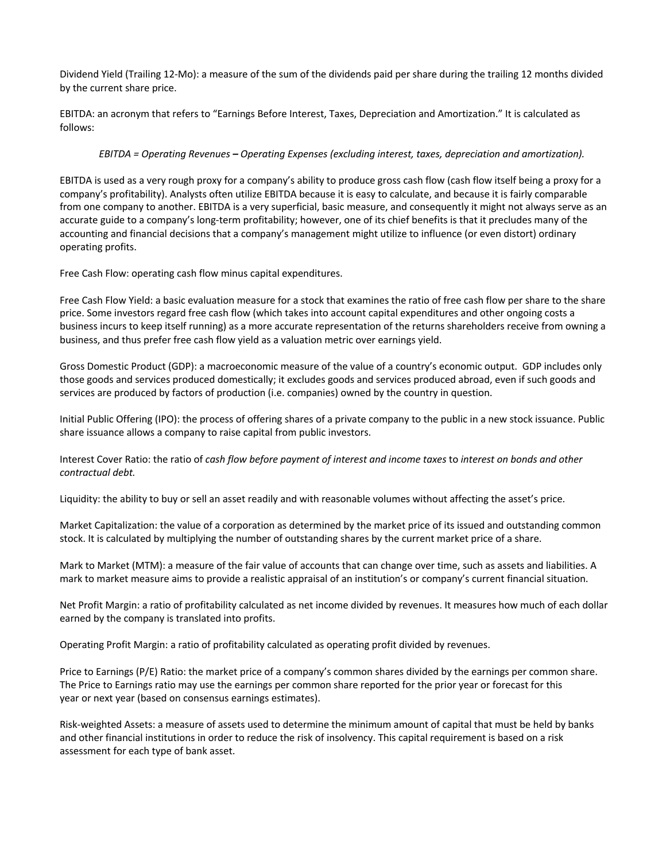Dividend Yield (Trailing 12-Mo): a measure of the sum of the dividends paid per share during the trailing 12 months divided by the current share price.

EBITDA: an acronym that refers to "Earnings Before Interest, Taxes, Depreciation and Amortization." It is calculated as follows:

# *EBITDA = Operating Revenues – Operating Expenses (excluding interest, taxes, depreciation and amortization).*

EBITDA is used as a very rough proxy for a company's ability to produce gross cash flow (cash flow itself being a proxy for a company's profitability). Analysts often utilize EBITDA because it is easy to calculate, and because it is fairly comparable from one company to another. EBITDA is a very superficial, basic measure, and consequently it might not always serve as an accurate guide to a company's long-term profitability; however, one of its chief benefits is that it precludes many of the accounting and financial decisions that a company's management might utilize to influence (or even distort) ordinary operating profits.

Free Cash Flow: operating cash flow minus capital expenditures.

Free Cash Flow Yield: a basic evaluation measure for a stock that examines the ratio of free cash flow per share to the share price. Some investors regard free cash flow (which takes into account capital expenditures and other ongoing costs a business incurs to keep itself running) as a more accurate representation of the returns shareholders receive from owning a business, and thus prefer free cash flow yield as a valuation metric over earnings yield.

Gross Domestic Product (GDP): a macroeconomic measure of the value of a country's economic output. GDP includes only those goods and services produced domestically; it excludes goods and services produced abroad, even if such goods and services are produced by factors of production (i.e. companies) owned by the country in question.

Initial Public Offering (IPO): the process of offering shares of a private company to the public in a new stock issuance. Public share issuance allows a company to raise capital from public investors.

Interest Cover Ratio: the ratio of *cash flow before payment of interest and income taxes* to *interest on bonds and other contractual debt.*

Liquidity: the ability to buy or sell an asset readily and with reasonable volumes without affecting the asset's price.

Market Capitalization: the value of a corporation as determined by the market price of its issued and outstanding common stock. It is calculated by multiplying the number of outstanding shares by the current market price of a share.

Mark to Market (MTM): a measure of the fair value of accounts that can change over time, such as assets and liabilities. A mark to market measure aims to provide a realistic appraisal of an institution's or company's current financial situation.

Net Profit Margin: a ratio of profitability calculated as net income divided by revenues. It measures how much of each dollar earned by the company is translated into profits.

Operating Profit Margin: a ratio of profitability calculated as operating profit divided by revenues.

Price to Earnings (P/E) Ratio: the market price of a company's common shares divided by the earnings per common share. The Price to Earnings ratio may use the earnings per common share reported for the prior year or forecast for this year or next year (based on consensus earnings estimates).

Risk-weighted Assets: a measure of assets used to determine the minimum amount of capital that must be held by banks and other financial institutions in order to reduce the risk of insolvency. This capital requirement is based on a risk assessment for each type of bank asset.